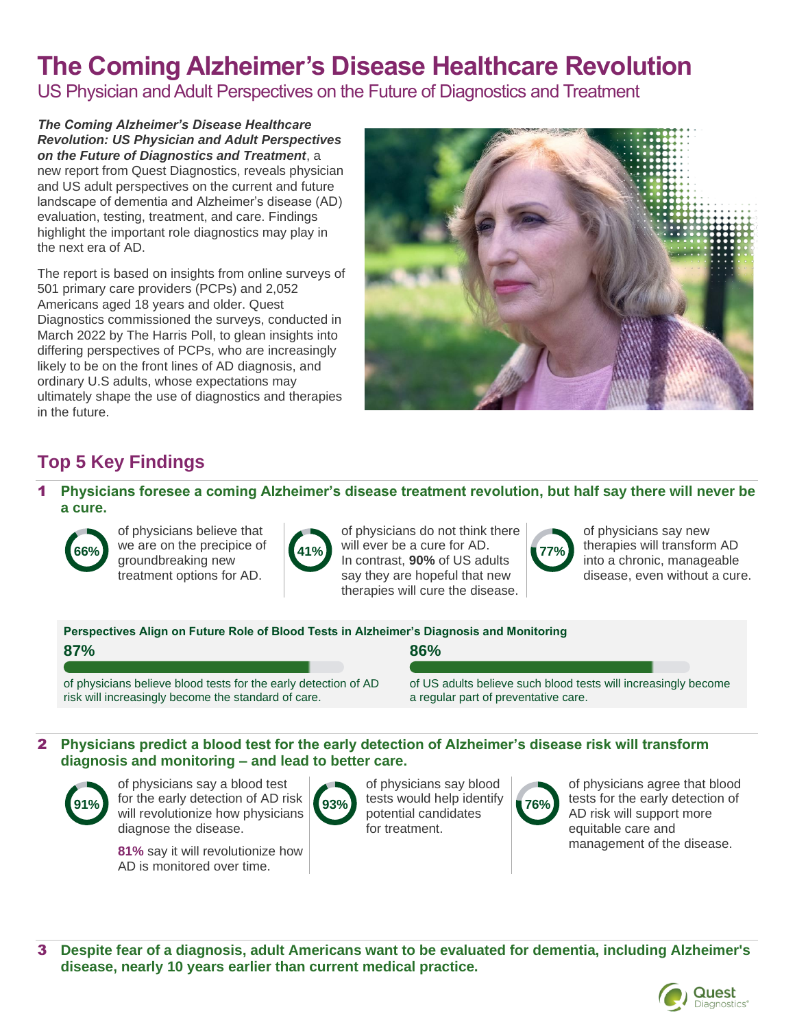# **The Coming Alzheimer's Disease Healthcare Revolution**

US Physician and Adult Perspectives on the Future of Diagnostics and Treatment

*The Coming Alzheimer's Disease Healthcare Revolution: US Physician and Adult Perspectives on the Future of Diagnostics and Treatment*, a new report from Quest Diagnostics, reveals physician and US adult perspectives on the current and future landscape of dementia and Alzheimer's disease (AD) evaluation, testing, treatment, and care. Findings highlight the important role diagnostics may play in the next era of AD.

The report is based on insights from online surveys of 501 primary care providers (PCPs) and 2,052 Americans aged 18 years and older. Quest Diagnostics commissioned the surveys, conducted in March 2022 by The Harris Poll, to glean insights into differing perspectives of PCPs, who are increasingly likely to be on the front lines of AD diagnosis, and ordinary U.S adults, whose expectations may ultimately shape the use of diagnostics and therapies in the future.



# **Top 5 Key Findings**

1 **Physicians foresee a coming Alzheimer's disease treatment revolution, but half say there will never be a cure.**



of physicians believe that we are on the precipice of groundbreaking new treatment options for AD.



of physicians do not think there will ever be a cure for AD. 66% we are on the precipice of **41%** will ever be a cure for AD.<br>In contrast, **90%** of US adults say they are hopeful that new therapies will cure the disease.

**86%**



of physicians say new therapies will transform AD into a chronic, manageable disease, even without a cure.

**Perspectives Align on Future Role of Blood Tests in Alzheimer's Diagnosis and Monitoring**

|--|

of physicians believe blood tests for the early detection of AD risk will increasingly become the standard of care.

of US adults believe such blood tests will increasingly become a regular part of preventative care.

#### 2 **Physicians predict a blood test for the early detection of Alzheimer's disease risk will transform diagnosis and monitoring – and lead to better care.**



of physicians say a blood test for the early detection of AD risk 91% **101** the early detection of AD risk **93%** rests would help identity **76%** will revolutionize how physicians diagnose the disease.

**81%** say it will revolutionize how AD is monitored over time.

of physicians say blood tests would help identify potential candidates for treatment.



of physicians agree that blood tests for the early detection of AD risk will support more equitable care and management of the disease.

3 **Despite fear of a diagnosis, adult Americans want to be evaluated for dementia, including Alzheimer's disease, nearly 10 years earlier than current medical practice.**